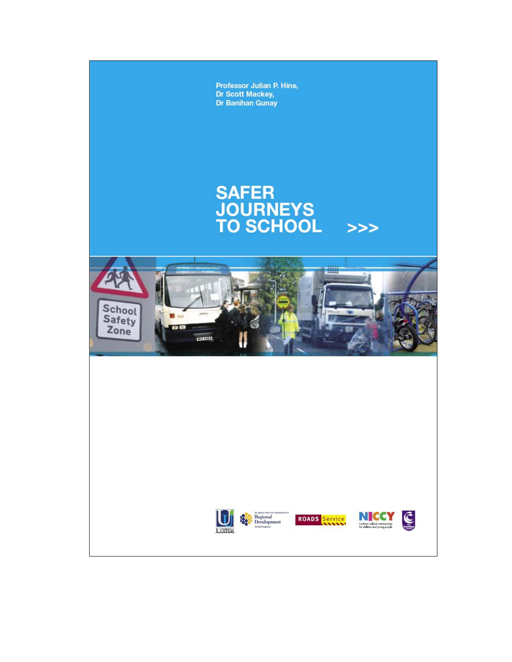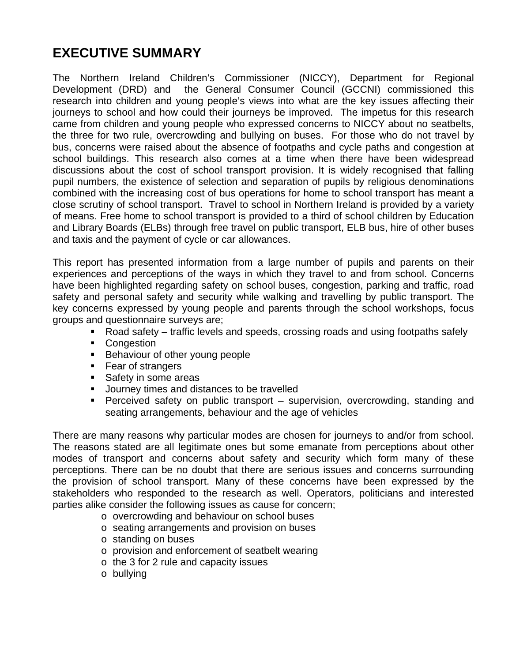# **EXECUTIVE SUMMARY**

The Northern Ireland Children's Commissioner (NICCY), Department for Regional Development (DRD) and the General Consumer Council (GCCNI) commissioned this research into children and young people's views into what are the key issues affecting their journeys to school and how could their journeys be improved. The impetus for this research came from children and young people who expressed concerns to NICCY about no seatbelts, the three for two rule, overcrowding and bullying on buses. For those who do not travel by bus, concerns were raised about the absence of footpaths and cycle paths and congestion at school buildings. This research also comes at a time when there have been widespread discussions about the cost of school transport provision. It is widely recognised that falling pupil numbers, the existence of selection and separation of pupils by religious denominations combined with the increasing cost of bus operations for home to school transport has meant a close scrutiny of school transport. Travel to school in Northern Ireland is provided by a variety of means. Free home to school transport is provided to a third of school children by Education and Library Boards (ELBs) through free travel on public transport, ELB bus, hire of other buses and taxis and the payment of cycle or car allowances.

This report has presented information from a large number of pupils and parents on their experiences and perceptions of the ways in which they travel to and from school. Concerns have been highlighted regarding safety on school buses, congestion, parking and traffic, road safety and personal safety and security while walking and travelling by public transport. The key concerns expressed by young people and parents through the school workshops, focus groups and questionnaire surveys are;

- Road safety traffic levels and speeds, crossing roads and using footpaths safely
- Congestion
- **Behaviour of other young people**
- Fear of strangers
- Safety in some areas
- **Journey times and distances to be travelled**
- Perceived safety on public transport supervision, overcrowding, standing and seating arrangements, behaviour and the age of vehicles

There are many reasons why particular modes are chosen for journeys to and/or from school. The reasons stated are all legitimate ones but some emanate from perceptions about other modes of transport and concerns about safety and security which form many of these perceptions. There can be no doubt that there are serious issues and concerns surrounding the provision of school transport. Many of these concerns have been expressed by the stakeholders who responded to the research as well. Operators, politicians and interested parties alike consider the following issues as cause for concern;

- o overcrowding and behaviour on school buses
- o seating arrangements and provision on buses
- o standing on buses
- o provision and enforcement of seatbelt wearing
- o the 3 for 2 rule and capacity issues
- o bullying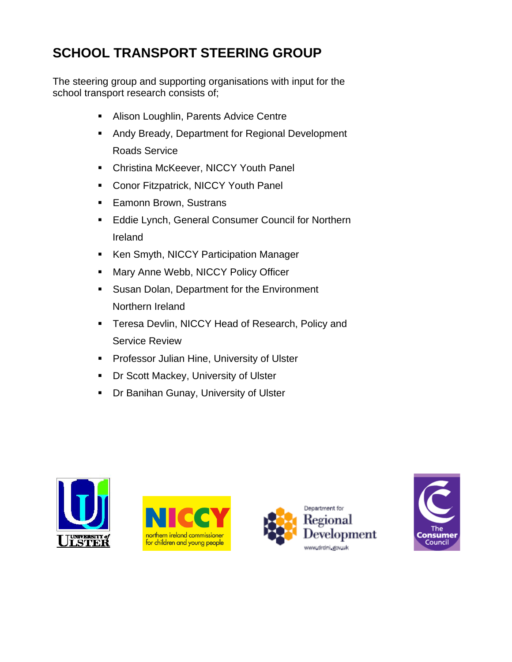# **SCHOOL TRANSPORT STEERING GROUP**

The steering group and supporting organisations with input for the school transport research consists of;

- **Alison Loughlin, Parents Advice Centre**
- **Andy Bready, Department for Regional Development** Roads Service
- Christina McKeever, NICCY Youth Panel
- **Conor Fitzpatrick, NICCY Youth Panel**
- **Eamonn Brown, Sustrans**
- **Eddie Lynch, General Consumer Council for Northern** Ireland
- **Ken Smyth, NICCY Participation Manager**
- **Mary Anne Webb, NICCY Policy Officer**
- **Susan Dolan, Department for the Environment** Northern Ireland
- **Teresa Devlin, NICCY Head of Research, Policy and** Service Review
- **Professor Julian Hine, University of Ulster**
- **Dr Scott Mackey, University of Ulster**
- **Dr Banihan Gunay, University of Ulster**







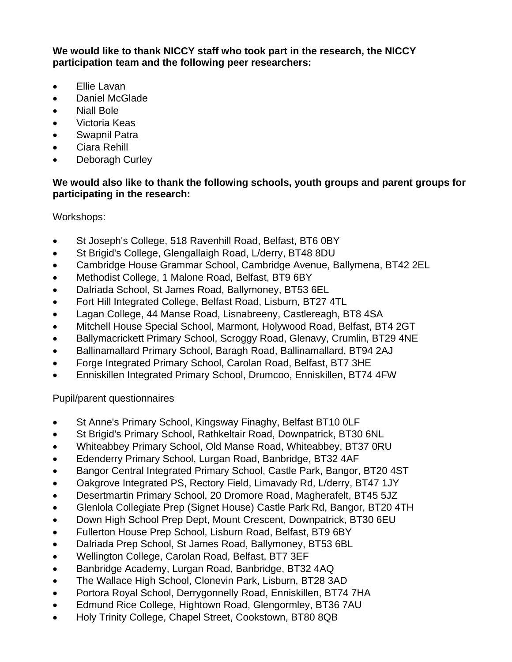**We would like to thank NICCY staff who took part in the research, the NICCY participation team and the following peer researchers:** 

- Ellie Lavan
- Daniel McGlade
- Niall Bole
- Victoria Keas
- Swapnil Patra
- Ciara Rehill
- Deboragh Curley

#### **We would also like to thank the following schools, youth groups and parent groups for participating in the research:**

Workshops:

- St Joseph's College, 518 Ravenhill Road, Belfast, BT6 0BY
- St Brigid's College, Glengallaigh Road, L/derry, BT48 8DU
- Cambridge House Grammar School, Cambridge Avenue, Ballymena, BT42 2EL
- Methodist College, 1 Malone Road, Belfast, BT9 6BY
- Dalriada School, St James Road, Ballymoney, BT53 6EL
- Fort Hill Integrated College, Belfast Road, Lisburn, BT27 4TL
- Lagan College, 44 Manse Road, Lisnabreeny, Castlereagh, BT8 4SA
- Mitchell House Special School, Marmont, Holywood Road, Belfast, BT4 2GT
- Ballymacrickett Primary School, Scroggy Road, Glenavy, Crumlin, BT29 4NE
- Ballinamallard Primary School, Baragh Road, Ballinamallard, BT94 2AJ
- Forge Integrated Primary School, Carolan Road, Belfast, BT7 3HE
- Enniskillen Integrated Primary School, Drumcoo, Enniskillen, BT74 4FW

Pupil/parent questionnaires

- St Anne's Primary School, Kingsway Finaghy, Belfast BT10 OLF
- St Brigid's Primary School, Rathkeltair Road, Downpatrick, BT30 6NL
- Whiteabbey Primary School, Old Manse Road, Whiteabbey, BT37 0RU
- Edenderry Primary School, Lurgan Road, Banbridge, BT32 4AF
- Bangor Central Integrated Primary School, Castle Park, Bangor, BT20 4ST
- Oakgrove Integrated PS, Rectory Field, Limavady Rd, L/derry, BT47 1JY
- Desertmartin Primary School, 20 Dromore Road, Magherafelt, BT45 5JZ
- Glenlola Collegiate Prep (Signet House) Castle Park Rd, Bangor, BT20 4TH
- Down High School Prep Dept, Mount Crescent, Downpatrick, BT30 6EU
- Fullerton House Prep School, Lisburn Road, Belfast, BT9 6BY
- Dalriada Prep School, St James Road, Ballymoney, BT53 6BL
- Wellington College, Carolan Road, Belfast, BT7 3EF
- Banbridge Academy, Lurgan Road, Banbridge, BT32 4AQ
- The Wallace High School, Clonevin Park, Lisburn, BT28 3AD
- Portora Royal School, Derrygonnelly Road, Enniskillen, BT74 7HA
- Edmund Rice College, Hightown Road, Glengormley, BT36 7AU
- Holy Trinity College, Chapel Street, Cookstown, BT80 8QB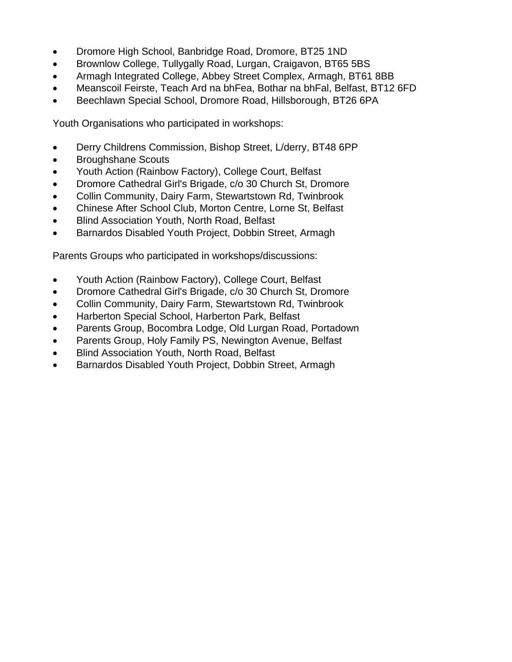- Dromore High School, Banbridge Road, Dromore, BT25 1ND
- Brownlow College, Tullygally Road, Lurgan, Craigavon, BT65 5BS
- Armagh Integrated College, Abbey Street Complex, Armagh, BT61 8BB
- Meanscoil Feirste, Teach Ard na bhFea, Bothar na bhFal, Belfast, BT12 6FD
- Beechlawn Special School, Dromore Road, Hillsborough, BT26 6PA

Youth Organisations who participated in workshops:

- Derry Childrens Commission, Bishop Street, L/derry, BT48 6PP
- Broughshane Scouts
- Youth Action (Rainbow Factory), College Court, Belfast
- Dromore Cathedral Girl's Brigade, c/o 30 Church St, Dromore
- Collin Community, Dairy Farm, Stewartstown Rd, Twinbrook
- Chinese After School Club, Morton Centre, Lorne St, Belfast
- Blind Association Youth, North Road, Belfast
- Barnardos Disabled Youth Project, Dobbin Street, Armagh

Parents Groups who participated in workshops/discussions:

- Youth Action (Rainbow Factory), College Court, Belfast
- Dromore Cathedral Girl's Brigade, c/o 30 Church St, Dromore
- Collin Community, Dairy Farm, Stewartstown Rd, Twinbrook
- Harberton Special School, Harberton Park, Belfast
- Parents Group, Bocombra Lodge, Old Lurgan Road, Portadown
- Parents Group, Holy Family PS, Newington Avenue, Belfast
- Blind Association Youth, North Road, Belfast
- Barnardos Disabled Youth Project, Dobbin Street, Armagh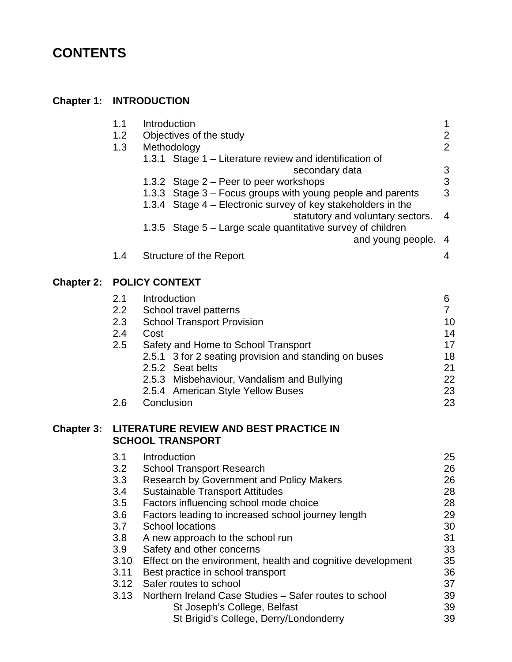## **CONTENTS**

#### **Chapter 1: INTRODUCTION**

| 1.1 | Introduction                                                 |                |
|-----|--------------------------------------------------------------|----------------|
| 1.2 | Objectives of the study                                      | 2              |
| 1.3 | Methodology                                                  | $\overline{2}$ |
|     | 1.3.1 Stage 1 – Literature review and identification of      |                |
|     | secondary data                                               | 3              |
|     | 1.3.2 Stage $2 -$ Peer to peer workshops                     | 3              |
|     | 1.3.3 Stage 3 – Focus groups with young people and parents   | 3              |
|     | 1.3.4 Stage 4 - Electronic survey of key stakeholders in the |                |
|     | statutory and voluntary sectors.                             | $\overline{4}$ |
|     | 1.3.5 Stage 5 – Large scale quantitative survey of children  |                |
|     | and young people. 4                                          |                |
| 1.4 | Structure of the Report                                      | 4              |
|     |                                                              |                |

## **Chapter 2: POLICY CONTEXT**

| 2.1 | Introduction                                          | 6  |
|-----|-------------------------------------------------------|----|
| 2.2 | School travel patterns                                |    |
| 2.3 | <b>School Transport Provision</b>                     | 10 |
| 2.4 | Cost                                                  | 14 |
| 2.5 | Safety and Home to School Transport                   | 17 |
|     | 2.5.1 3 for 2 seating provision and standing on buses | 18 |
|     | 2.5.2 Seat belts                                      | 21 |
|     | 2.5.3 Misbehaviour, Vandalism and Bullying            | 22 |
|     | 2.5.4 American Style Yellow Buses                     | 23 |
| 2.6 | Conclusion                                            | 23 |

#### **Chapter 3: LITERATURE REVIEW AND BEST PRACTICE IN SCHOOL TRANSPORT**

| 3.1  | Introduction                                                | 25 |
|------|-------------------------------------------------------------|----|
| 3.2  | <b>School Transport Research</b>                            | 26 |
| 3.3  | <b>Research by Government and Policy Makers</b>             | 26 |
| 3.4  | <b>Sustainable Transport Attitudes</b>                      | 28 |
| 3.5  | Factors influencing school mode choice                      | 28 |
| 3.6  | Factors leading to increased school journey length          | 29 |
| 3.7  | <b>School locations</b>                                     | 30 |
| 3.8  | A new approach to the school run                            | 31 |
| 3.9  | Safety and other concerns                                   | 33 |
| 3.10 | Effect on the environment, health and cognitive development | 35 |
| 3.11 | Best practice in school transport                           | 36 |
| 3.12 | Safer routes to school                                      | 37 |
| 3.13 | Northern Ireland Case Studies - Safer routes to school      | 39 |
|      | St Joseph's College, Belfast                                | 39 |
|      | St Brigid's College, Derry/Londonderry                      | 39 |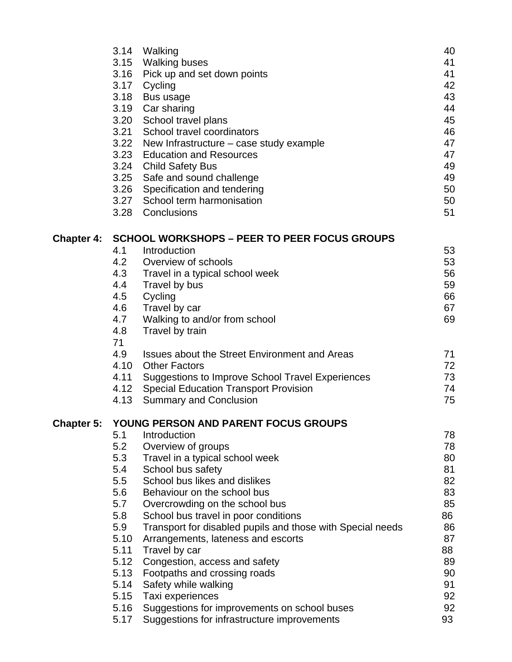|                   | 3.14 Walking                                               | 40       |
|-------------------|------------------------------------------------------------|----------|
|                   | 3.15 Walking buses                                         | 41       |
|                   | 3.16 Pick up and set down points                           | 41       |
| 3.17              | Cycling                                                    | 42       |
| 3.18              | Bus usage                                                  | 43       |
|                   | 3.19 Car sharing                                           | 44       |
|                   | 3.20 School travel plans                                   | 45       |
| 3.21              | School travel coordinators                                 | 46       |
|                   | 3.22 New Infrastructure - case study example               | 47       |
|                   | 3.23 Education and Resources                               | 47       |
|                   | 3.24 Child Safety Bus                                      | 49       |
|                   | 3.25 Safe and sound challenge                              | 49       |
|                   | 3.26 Specification and tendering                           | 50       |
| 3.27              | School term harmonisation                                  | 50       |
|                   | 3.28 Conclusions                                           | 51       |
| <b>Chapter 4:</b> | <b>SCHOOL WORKSHOPS - PEER TO PEER FOCUS GROUPS</b>        |          |
| 4.1               | Introduction                                               | 53       |
| 4.2               | Overview of schools                                        | 53       |
| 4.3               | Travel in a typical school week                            | 56       |
| 4.4               | Travel by bus                                              | 59       |
| 4.5               | Cycling                                                    | 66       |
| 4.6               | Travel by car                                              | 67       |
| 4.7               | Walking to and/or from school                              | 69       |
| 4.8               | Travel by train                                            |          |
| 71                |                                                            |          |
| 4.9               | Issues about the Street Environment and Areas              | 71       |
| 4.10              | <b>Other Factors</b>                                       | 72       |
| 4.11              | Suggestions to Improve School Travel Experiences           | 73       |
| 4.12              | <b>Special Education Transport Provision</b>               | 74       |
| 4.13              | <b>Summary and Conclusion</b>                              | 75       |
| <b>Chapter 5:</b> | YOUNG PERSON AND PARENT FOCUS GROUPS                       |          |
| 5.1               | Introduction                                               | 78       |
| 5.2               | Overview of groups                                         | 78       |
| 5.3               | Travel in a typical school week                            | 80       |
| 5.4               | School bus safety                                          | 81       |
| 5.5               | School bus likes and dislikes                              | 82       |
| 5.6               | Behaviour on the school bus                                | 83       |
| 5.7               | Overcrowding on the school bus                             | 85       |
| 5.8               | School bus travel in poor conditions                       | 86       |
| 5.9<br>5.10       | Transport for disabled pupils and those with Special needs | 86<br>87 |
| 5.11              | Arrangements, lateness and escorts<br>Travel by car        | 88       |
| 5.12              | Congestion, access and safety                              | 89       |
| 5.13              | Footpaths and crossing roads                               | 90       |
| 5.14              | Safety while walking                                       | 91       |
| 5.15              | Taxi experiences                                           | 92       |
| 5.16              | Suggestions for improvements on school buses               | 92       |
| 5.17              | Suggestions for infrastructure improvements                | 93       |
|                   |                                                            |          |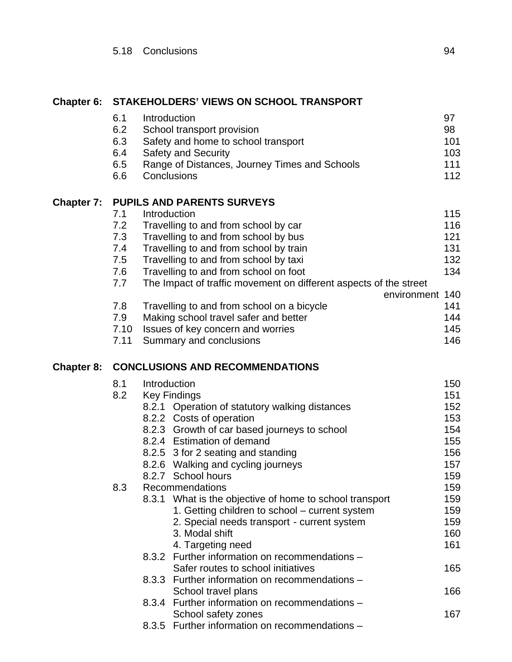## **Chapter 6: STAKEHOLDERS' VIEWS ON SCHOOL TRANSPORT**

|                   | 6.1<br>6.2<br>6.3<br>6.4<br>6.5<br>6.6 | Introduction<br>Conclusions | School transport provision<br>Safety and home to school transport<br><b>Safety and Security</b><br>Range of Distances, Journey Times and Schools | 97<br>98<br>101<br>103<br>111<br>112 |  |  |
|-------------------|----------------------------------------|-----------------------------|--------------------------------------------------------------------------------------------------------------------------------------------------|--------------------------------------|--|--|
| <b>Chapter 7:</b> | 7.1                                    | Introduction                | <b>PUPILS AND PARENTS SURVEYS</b>                                                                                                                | 115                                  |  |  |
|                   | 7.2                                    |                             | Travelling to and from school by car                                                                                                             | 116                                  |  |  |
|                   | 7.3                                    |                             | Travelling to and from school by bus                                                                                                             | 121                                  |  |  |
|                   | 7.4                                    |                             | Travelling to and from school by train                                                                                                           | 131                                  |  |  |
|                   | 7.5                                    |                             | Travelling to and from school by taxi                                                                                                            | 132                                  |  |  |
|                   | 7.6                                    |                             | Travelling to and from school on foot                                                                                                            | 134                                  |  |  |
|                   | 7.7                                    |                             | The Impact of traffic movement on different aspects of the street                                                                                |                                      |  |  |
|                   | 7.8                                    |                             | environment 140                                                                                                                                  | 141                                  |  |  |
|                   | 7.9                                    |                             | Travelling to and from school on a bicycle<br>Making school travel safer and better                                                              | 144                                  |  |  |
|                   | 7.10                                   |                             | Issues of key concern and worries                                                                                                                | 145                                  |  |  |
|                   | 7.11                                   |                             | Summary and conclusions                                                                                                                          | 146                                  |  |  |
| <b>Chapter 8:</b> | <b>CONCLUSIONS AND RECOMMENDATIONS</b> |                             |                                                                                                                                                  |                                      |  |  |
|                   | 8.1                                    | Introduction                |                                                                                                                                                  | 150                                  |  |  |
|                   | 8.2                                    |                             | <b>Key Findings</b>                                                                                                                              | 151                                  |  |  |
|                   |                                        |                             | 8.2.1 Operation of statutory walking distances                                                                                                   | 152                                  |  |  |
|                   |                                        |                             | 8.2.2 Costs of operation                                                                                                                         | 153                                  |  |  |
|                   |                                        |                             | 8.2.3 Growth of car based journeys to school                                                                                                     | 154                                  |  |  |
|                   |                                        |                             | 8.2.4 Estimation of demand                                                                                                                       | 155                                  |  |  |
|                   |                                        |                             | 8.2.5 3 for 2 seating and standing                                                                                                               | 156                                  |  |  |
|                   |                                        |                             | 8.2.6 Walking and cycling journeys                                                                                                               | 157                                  |  |  |
|                   |                                        |                             | 8.2.7 School hours                                                                                                                               | 159                                  |  |  |
|                   | 8.3                                    |                             | Recommendations<br>8.3.1 What is the objective of home to school transport                                                                       | 159<br>159                           |  |  |
|                   |                                        |                             | 1. Getting children to school – current system                                                                                                   | 159                                  |  |  |
|                   |                                        |                             | 2. Special needs transport - current system                                                                                                      | 159                                  |  |  |
|                   |                                        |                             | 3. Modal shift                                                                                                                                   | 160                                  |  |  |
|                   |                                        |                             | 4. Targeting need                                                                                                                                | 161                                  |  |  |
|                   |                                        |                             | 8.3.2 Further information on recommendations -                                                                                                   |                                      |  |  |
|                   |                                        |                             | Safer routes to school initiatives                                                                                                               | 165                                  |  |  |
|                   |                                        | 8.3.3                       | Further information on recommendations -                                                                                                         |                                      |  |  |
|                   |                                        |                             | School travel plans                                                                                                                              | 166                                  |  |  |
|                   |                                        | 8.3.4                       | Further information on recommendations -                                                                                                         |                                      |  |  |
|                   |                                        |                             | School safety zones                                                                                                                              | 167                                  |  |  |
|                   |                                        | 8.3.5                       | Further information on recommendations -                                                                                                         |                                      |  |  |